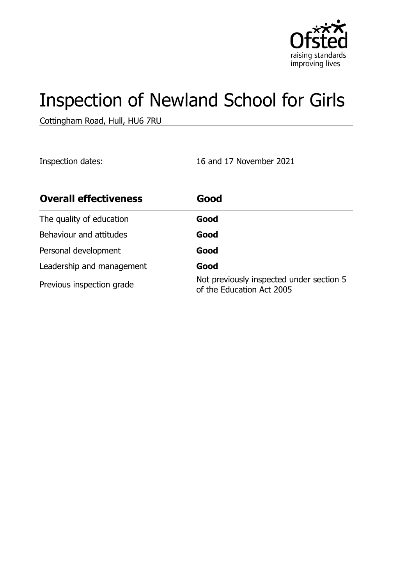

# Inspection of Newland School for Girls

Cottingham Road, Hull, HU6 7RU

Inspection dates: 16 and 17 November 2021

| <b>Overall effectiveness</b> | Good                                                                  |
|------------------------------|-----------------------------------------------------------------------|
| The quality of education     | Good                                                                  |
| Behaviour and attitudes      | Good                                                                  |
| Personal development         | Good                                                                  |
| Leadership and management    | Good                                                                  |
| Previous inspection grade    | Not previously inspected under section 5<br>of the Education Act 2005 |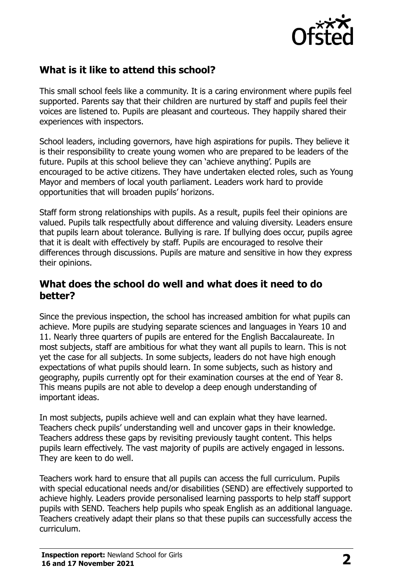

## **What is it like to attend this school?**

This small school feels like a community. It is a caring environment where pupils feel supported. Parents say that their children are nurtured by staff and pupils feel their voices are listened to. Pupils are pleasant and courteous. They happily shared their experiences with inspectors.

School leaders, including governors, have high aspirations for pupils. They believe it is their responsibility to create young women who are prepared to be leaders of the future. Pupils at this school believe they can 'achieve anything'. Pupils are encouraged to be active citizens. They have undertaken elected roles, such as Young Mayor and members of local youth parliament. Leaders work hard to provide opportunities that will broaden pupils' horizons.

Staff form strong relationships with pupils. As a result, pupils feel their opinions are valued. Pupils talk respectfully about difference and valuing diversity. Leaders ensure that pupils learn about tolerance. Bullying is rare. If bullying does occur, pupils agree that it is dealt with effectively by staff. Pupils are encouraged to resolve their differences through discussions. Pupils are mature and sensitive in how they express their opinions.

#### **What does the school do well and what does it need to do better?**

Since the previous inspection, the school has increased ambition for what pupils can achieve. More pupils are studying separate sciences and languages in Years 10 and 11. Nearly three quarters of pupils are entered for the English Baccalaureate. In most subjects, staff are ambitious for what they want all pupils to learn. This is not yet the case for all subjects. In some subjects, leaders do not have high enough expectations of what pupils should learn. In some subjects, such as history and geography, pupils currently opt for their examination courses at the end of Year 8. This means pupils are not able to develop a deep enough understanding of important ideas.

In most subjects, pupils achieve well and can explain what they have learned. Teachers check pupils' understanding well and uncover gaps in their knowledge. Teachers address these gaps by revisiting previously taught content. This helps pupils learn effectively. The vast majority of pupils are actively engaged in lessons. They are keen to do well.

Teachers work hard to ensure that all pupils can access the full curriculum. Pupils with special educational needs and/or disabilities (SEND) are effectively supported to achieve highly. Leaders provide personalised learning passports to help staff support pupils with SEND. Teachers help pupils who speak English as an additional language. Teachers creatively adapt their plans so that these pupils can successfully access the curriculum.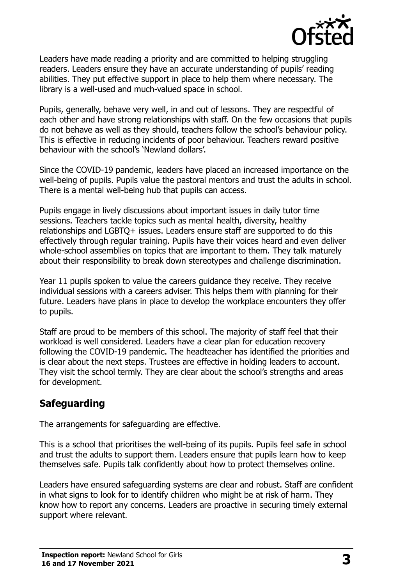

Leaders have made reading a priority and are committed to helping struggling readers. Leaders ensure they have an accurate understanding of pupils' reading abilities. They put effective support in place to help them where necessary. The library is a well-used and much-valued space in school.

Pupils, generally, behave very well, in and out of lessons. They are respectful of each other and have strong relationships with staff. On the few occasions that pupils do not behave as well as they should, teachers follow the school's behaviour policy. This is effective in reducing incidents of poor behaviour. Teachers reward positive behaviour with the school's 'Newland dollars'.

Since the COVID-19 pandemic, leaders have placed an increased importance on the well-being of pupils. Pupils value the pastoral mentors and trust the adults in school. There is a mental well-being hub that pupils can access.

Pupils engage in lively discussions about important issues in daily tutor time sessions. Teachers tackle topics such as mental health, diversity, healthy relationships and LGBTQ+ issues. Leaders ensure staff are supported to do this effectively through regular training. Pupils have their voices heard and even deliver whole-school assemblies on topics that are important to them. They talk maturely about their responsibility to break down stereotypes and challenge discrimination.

Year 11 pupils spoken to value the careers guidance they receive. They receive individual sessions with a careers adviser. This helps them with planning for their future. Leaders have plans in place to develop the workplace encounters they offer to pupils.

Staff are proud to be members of this school. The majority of staff feel that their workload is well considered. Leaders have a clear plan for education recovery following the COVID-19 pandemic. The headteacher has identified the priorities and is clear about the next steps. Trustees are effective in holding leaders to account. They visit the school termly. They are clear about the school's strengths and areas for development.

# **Safeguarding**

The arrangements for safeguarding are effective.

This is a school that prioritises the well-being of its pupils. Pupils feel safe in school and trust the adults to support them. Leaders ensure that pupils learn how to keep themselves safe. Pupils talk confidently about how to protect themselves online.

Leaders have ensured safeguarding systems are clear and robust. Staff are confident in what signs to look for to identify children who might be at risk of harm. They know how to report any concerns. Leaders are proactive in securing timely external support where relevant.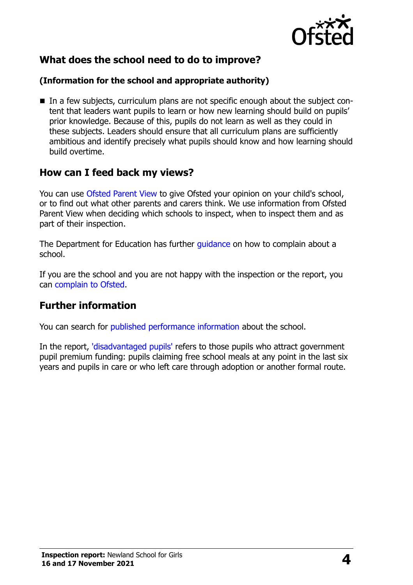

## **What does the school need to do to improve?**

#### **(Information for the school and appropriate authority)**

■ In a few subjects, curriculum plans are not specific enough about the subject content that leaders want pupils to learn or how new learning should build on pupils' prior knowledge. Because of this, pupils do not learn as well as they could in these subjects. Leaders should ensure that all curriculum plans are sufficiently ambitious and identify precisely what pupils should know and how learning should build overtime.

### **How can I feed back my views?**

You can use [Ofsted Parent View](http://parentview.ofsted.gov.uk/) to give Ofsted your opinion on your child's school, or to find out what other parents and carers think. We use information from Ofsted Parent View when deciding which schools to inspect, when to inspect them and as part of their inspection.

The Department for Education has further quidance on how to complain about a school.

If you are the school and you are not happy with the inspection or the report, you can [complain to Ofsted.](http://www.gov.uk/complain-ofsted-report)

#### **Further information**

You can search for [published performance information](http://www.compare-school-performance.service.gov.uk/) about the school.

In the report, ['disadvantaged pupils'](http://www.gov.uk/guidance/pupil-premium-information-for-schools-and-alternative-provision-settings) refers to those pupils who attract government pupil premium funding: pupils claiming free school meals at any point in the last six years and pupils in care or who left care through adoption or another formal route.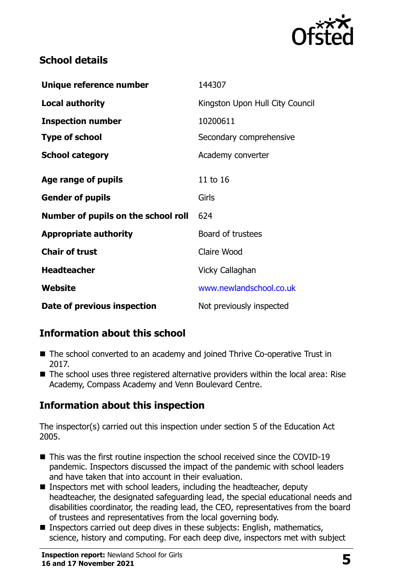

## **School details**

| Unique reference number             | 144307                          |  |
|-------------------------------------|---------------------------------|--|
| <b>Local authority</b>              | Kingston Upon Hull City Council |  |
| <b>Inspection number</b>            | 10200611                        |  |
| <b>Type of school</b>               | Secondary comprehensive         |  |
| <b>School category</b>              | Academy converter               |  |
| Age range of pupils                 | 11 to 16                        |  |
| <b>Gender of pupils</b>             | Girls                           |  |
| Number of pupils on the school roll | 624                             |  |
| <b>Appropriate authority</b>        | Board of trustees               |  |
| <b>Chair of trust</b>               | Claire Wood                     |  |
| <b>Headteacher</b>                  | Vicky Callaghan                 |  |
| Website                             | www.newlandschool.co.uk         |  |
| Date of previous inspection         | Not previously inspected        |  |

# **Information about this school**

- The school converted to an academy and joined Thrive Co-operative Trust in 2017.
- The school uses three registered alternative providers within the local area: Rise Academy, Compass Academy and Venn Boulevard Centre.

# **Information about this inspection**

The inspector(s) carried out this inspection under section 5 of the Education Act 2005.

- This was the first routine inspection the school received since the COVID-19 pandemic. Inspectors discussed the impact of the pandemic with school leaders and have taken that into account in their evaluation.
- Inspectors met with school leaders, including the headteacher, deputy headteacher, the designated safeguarding lead, the special educational needs and disabilities coordinator, the reading lead, the CEO, representatives from the board of trustees and representatives from the local governing body.
- Inspectors carried out deep dives in these subjects: English, mathematics, science, history and computing. For each deep dive, inspectors met with subject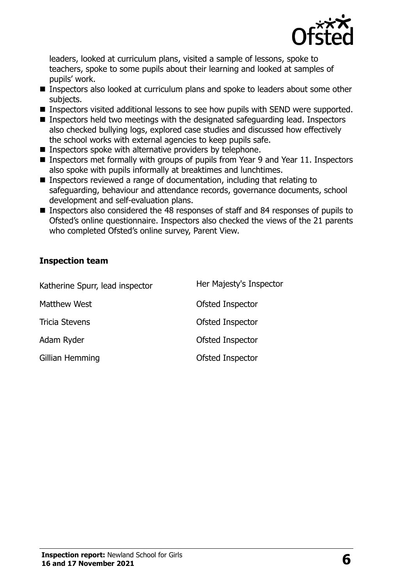

leaders, looked at curriculum plans, visited a sample of lessons, spoke to teachers, spoke to some pupils about their learning and looked at samples of pupils' work.

- Inspectors also looked at curriculum plans and spoke to leaders about some other subjects.
- **Inspectors visited additional lessons to see how pupils with SEND were supported.**
- **Inspectors held two meetings with the designated safeguarding lead. Inspectors** also checked bullying logs, explored case studies and discussed how effectively the school works with external agencies to keep pupils safe.
- **Inspectors spoke with alternative providers by telephone.**
- Inspectors met formally with groups of pupils from Year 9 and Year 11. Inspectors also spoke with pupils informally at breaktimes and lunchtimes.
- Inspectors reviewed a range of documentation, including that relating to safeguarding, behaviour and attendance records, governance documents, school development and self-evaluation plans.
- Inspectors also considered the 48 responses of staff and 84 responses of pupils to Ofsted's online questionnaire. Inspectors also checked the views of the 21 parents who completed Ofsted's online survey, Parent View.

#### **Inspection team**

| Katherine Spurr, lead inspector | Her Majesty's Inspector |
|---------------------------------|-------------------------|
| Matthew West                    | Ofsted Inspector        |
| <b>Tricia Stevens</b>           | Ofsted Inspector        |
| Adam Ryder                      | Ofsted Inspector        |
| Gillian Hemming                 | Ofsted Inspector        |